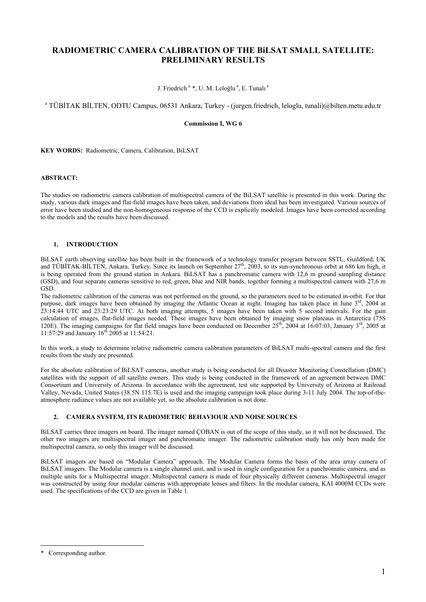# **RADIOMETRIC CAMERA CALIBRATION OF THE BiLSAT SMALL SATELLITE: PRELIMINARY RESULTS**

J. Friedrich<sup>a, \*</sup>, U. M. Leloğlu<sup>a</sup>, E. Tunalı<sup>a</sup>

a TÜBİTAK BİLTEN, ODTU Campus, 06531 Ankara, Turkey - (jurgen.friedrich, leloglu, tunali)@bilten.metu.edu.tr

# **Commission I, WG 6**

**KEY WORDS:** Radiometric, Camera, Calibration, BiLSAT

# **ABSTRACT:**

The studies on radiometric camera calibration of multispectral camera of the BiLSAT satellite is presented in this work. During the study, various dark images and flat-field images have been taken, and deviations from ideal has been investigated. Various sources of error have been studied and the non-homogeneous response of the CCD is explicitly modeled. Images have been corrected according to the models and the results have been discussed.

# **1. INTRODUCTION**

BiLSAT earth observing satellite has been built in the framework of a technology transfer program between SSTL, Guildford, UK and TÜBİTAK-BİLTEN, Ankara, Turkey. Since its launch on September  $27<sup>th</sup>$ , 2003, to its sun-synchronous orbit at 686 km high, it is being operated from the ground station in Ankara. BiLSAT has a panchromatic camera with 12,6 m ground sampling distance (GSD), and four separate cameras sensitive to red, green, blue and NIR bands, together forming a multispectral camera with 27,6 m GSD.

The radiometric calibration of the cameras was not performed on the ground, so the parameters need to be estimated in-orbit. For that purpose, dark images have been obtained by imaging the Atlantic Ocean at night. Imaging has taken place in June  $3<sup>rd</sup>$ , 2004 at 23:14:44 UTC and 23:23:29 UTC. At both imaging attempts, 5 images have been taken with 5 second intervals. For the gain calculation of images, flat-field images needed. These images have been obtained by imaging snow plateaus in Antarctica (75S 120E). The imaging campaigns for flat field images have been conducted on December  $25^{th}$ , 2004 at 16:07:03, January  $3^{rd}$ , 2005 at 11:57:29 and January  $16^{th}$  2005 at 11:54:21.

In this work, a study to determine relative radiometric camera calibration parameters of BiLSAT multi-spectral camera and the first results from the study are presented.

For the absolute calibration of BiLSAT cameras, another study is being conducted for all Disaster Monitoring Constellation (DMC) satellites with the support of all satellite owners. This study is being conducted in the framework of an agreement between DMC Consortium and University of Arizona. In accordance with the agreement, test site supported by University of Arizona at Railroad Valley, Nevada, United States (38.5N 115.7E) is used and the imaging campaign took place during 3-11 July 2004. The top-of-theatmosphere radiance values are not available yet, so the absolute calibration is not done.

# **2. CAMERA SYSTEM, ITS RADIOMETRIC BEHAVIOUR AND NOISE SOURCES**

BiLSAT carries three imagers on board. The imager named ÇOBAN is out of the scope of this study, so it will not be discussed. The other two imagers are multispectral imager and panchromatic imager. The radiometric calibration study has only been made for multispectral camera, so only this imager will be discussed.

BiLSAT imagers are based on "Modular Camera" approach. The Modular Camera forms the basis of the area array camera of BiLSAT imagers. The Modular camera is a single channel unit, and is used in single configuration for a panchromatic camera, and as multiple units for a Multispectral imager. Multispectral camera is made of four physically different cameras. Multispectral imager was constructed by using four modular cameras with appropriate lenses and filters. In the modular camera, KAI 4000M CCDs were used. The specifications of the CCD are given in Table 1.

 $\overline{a}$ 

<span id="page-0-0"></span><sup>\*</sup> Corresponding author.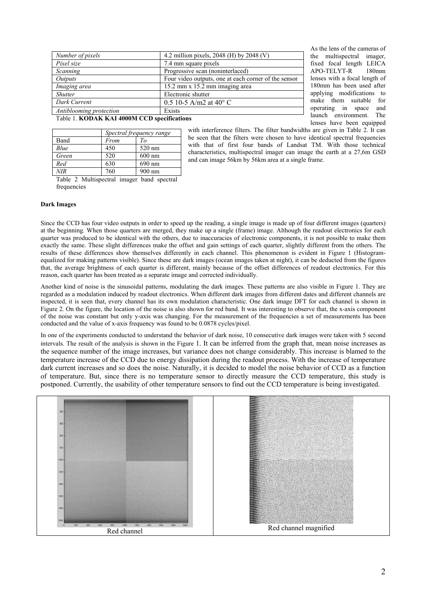| Number of pixels        | 4.2 million pixels, 2048 (H) by 2048 (V)             |  |
|-------------------------|------------------------------------------------------|--|
| Pixel size              | 7.4 mm square pixels                                 |  |
| Scanning                | Progressive scan (noninterlaced)                     |  |
| <i>Outputs</i>          | Four video outputs, one at each corner of the sensor |  |
| Imaging area            | 15.2 mm x 15.2 mm imaging area                       |  |
| <i>Shutter</i>          | Electronic shutter                                   |  |
| Dark Current            | 0.5 10-5 A/m2 at 40 $^{\circ}$ C                     |  |
| Antiblooming protection | Exists                                               |  |

As the lens of the cameras of the multispectral imager, fixed focal length LEICA APO-TELYT-R 180mm lenses with a focal length of 180mm has been used after applying modifications to make them suitable for operating in space and launch environment. The lenses have been equipped

#### Table 1. **KODAK KAI 4000M CCD specifications**

|       | Spectral frequency range |          |
|-------|--------------------------|----------|
| Band  | From                     | $T_{O}$  |
| Blue  | 450                      | 520 nm   |
| Green | 520                      | $600$ nm |
| Red   | 630                      | 690 nm   |
| NIR   | 760                      | $900$ nm |

with interference filters. The filter bandwidths are given in Table 2. It can be seen that the filters were chosen to have identical spectral frequencies with that of first four bands of Landsat TM. With those technical characteristics, multispectral imager can image the earth at a 27,6m GSD and can image 56km by 56km area at a single frame.

Table 2 Multispectral imager band spectral frequencies

#### **Dark Images**

Since the CCD has four video outputs in order to speed up the reading, a single image is made up of four different images (quarters) at the beginning. When those quarters are merged, they make up a single (frame) image. Although the readout electronics for each quarter was produced to be identical with the others, due to inaccuracies of electronic components, it is not possible to make them exactly the same. These slight differences make the offset and gain settings of each quarter, slightly different from the others. The results of these differences show themselves differently in each channel. This phenomenon is evident in Figure 1 (Histogramequalized for making patterns visible). Since these are dark images (ocean images taken at night), it can be deducted from the figures that, the average brightness of each quarter is different, mainly because of the offset differences of readout electronics. For this reason, each quarter has been treated as a separate image and corrected individually.

Another kind of noise is the sinusoidal patterns, modulating the dark images. These patterns are also visible in Figure 1. They are regarded as a modulation induced by readout electronics. When different dark images from different dates and different channels are inspected, it is seen that, every channel has its own modulation characteristic. One dark image DFT for each channel is shown in Figure 2. On the figure, the location of the noise is also shown for red band. It was interesting to observe that, the x-axis component of the noise was constant but only y-axis was changing. For the measurement of the frequencies a set of measurements has been conducted and the value of x-axis frequency was found to be 0.0878 cycles/pixel.

In one of the experiments conducted to understand the behavior of dark noise, 10 consecutive dark images were taken with 5 second intervals. The result of the analysis is shown in the Figure 1. It can be inferred from the graph that, mean noise increases as the sequence number of the image increases, but variance does not change considerably. This increase is blamed to the temperature increase of the CCD due to energy dissipation during the readout process. With the increase of temperature dark current increases and so does the noise. Naturally, it is decided to model the noise behavior of CCD as a function of temperature. But, since there is no temperature sensor to directly measure the CCD temperature, this study is postponed. Currently, the usability of other temperature sensors to find out the CCD temperature is being investigated.

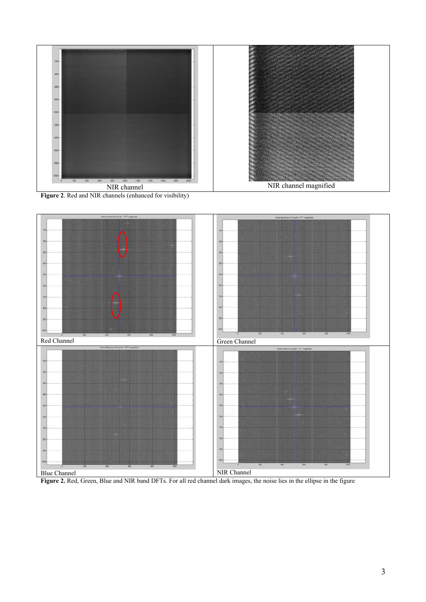

**Figure 2**. Red and NIR channels (enhanced for visibility)



Figure 2. Red, Green, Blue and NIR band DFTs. For all red channel dark images, the noise lies in the ellipse in the figure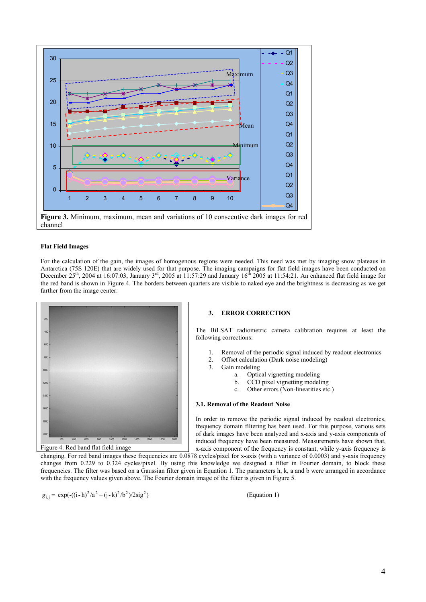

#### **Flat Field Images**

For the calculation of the gain, the images of homogenous regions were needed. This need was met by imaging snow plateaus in Antarctica (75S 120E) that are widely used for that purpose. The imaging campaigns for flat field images have been conducted on December  $25^{th}$ , 2004 at 16:07:03, January 3<sup>rd</sup>, 2005 at 11:57:29 and January 16<sup>th</sup> 2005 at 11:54:21. An enhanced flat field image for the red band is shown in Figure 4. The borders between quarters are visible to naked eye and the brightness is decreasing as we get farther from the image center.



#### **3. ERROR CORRECTION**

The BiLSAT radiometric camera calibration requires at least the following corrections:

- 1. Removal of the periodic signal induced by readout electronics
- 2. Offset calculation (Dark noise modeling)
- 3. Gain modeling
	- a. Optical vignetting modeling
	- b. CCD pixel vignetting modeling
	- c. Other errors (Non-linearities etc.)

# **3.1. Removal of the Readout Noise**

In order to remove the periodic signal induced by readout electronics, frequency domain filtering has been used. For this purpose, various sets of dark images have been analyzed and x-axis and y-axis components of induced frequency have been measured. Measurements have shown that, x-axis component of the frequency is constant, while y-axis frequency is

changing. For red band images these frequencies are 0.0878 cycles/pixel for x-axis (with a variance of 0.0003) and y-axis frequency changes from 0.229 to 0.324 cycles/pixel. By using this knowledge we designed a filter in Fourier domain, to block these frequencies. The filter was based on a Gaussian filter given in Equation 1. The parameters h, k, a and b were arranged in accordance with the frequency values given above. The Fourier domain image of the filter is given in Figure 5.

$$
g_{i} = \exp(-(i-h)^2/a^2 + (j-k)^2/b^2)/2\text{sig}^2
$$

(Equation 1)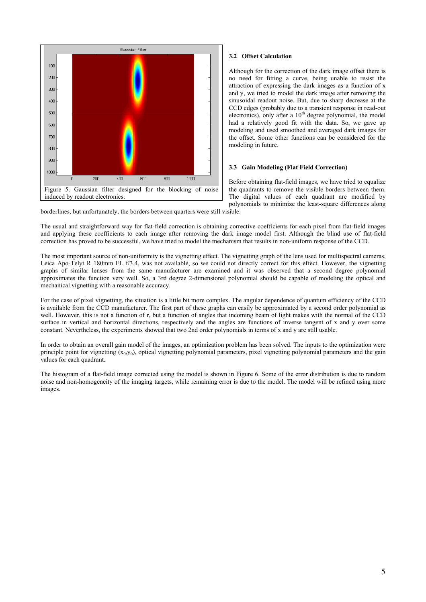

# **3.2 Offset Calculation**

Although for the correction of the dark image offset there is no need for fitting a curve, being unable to resist the attraction of expressing the dark images as a function of x and y, we tried to model the dark image after removing the sinusoidal readout noise. But, due to sharp decrease at the CCD edges (probably due to a transient response in read-out electronics), only after a  $10<sup>th</sup>$  degree polynomial, the model had a relatively good fit with the data. So, we gave up modeling and used smoothed and averaged dark images for the offset. Some other functions can be considered for the modeling in future.

#### **3.3 Gain Modeling (Flat Field Correction)**

Before obtaining flat-field images, we have tried to equalize the quadrants to remove the visible borders between them. The digital values of each quadrant are modified by polynomials to minimize the least-square differences along

borderlines, but unfortunately, the borders between quarters were still visible.

The usual and straightforward way for flat-field correction is obtaining corrective coefficients for each pixel from flat-field images and applying these coefficients to each image after removing the dark image model first. Although the blind use of flat-field correction has proved to be successful, we have tried to model the mechanism that results in non-uniform response of the CCD.

The most important source of non-uniformity is the vignetting effect. The vignetting graph of the lens used for multispectral cameras, Leica Apo-Telyt R 180mm FL f/3.4, was not available, so we could not directly correct for this effect. However, the vignetting graphs of similar lenses from the same manufacturer are examined and it was observed that a second degree polynomial approximates the function very well. So, a 3rd degree 2-dimensional polynomial should be capable of modeling the optical and mechanical vignetting with a reasonable accuracy.

For the case of pixel vignetting, the situation is a little bit more complex. The angular dependence of quantum efficiency of the CCD is available from the CCD manufacturer. The first part of these graphs can easily be approximated by a second order polynomial as well. However, this is not a function of r, but a function of angles that incoming beam of light makes with the normal of the CCD surface in vertical and horizontal directions, respectively and the angles are functions of inverse tangent of x and y over some constant. Nevertheless, the experiments showed that two 2nd order polynomials in terms of x and y are still usable.

In order to obtain an overall gain model of the images, an optimization problem has been solved. The inputs to the optimization were principle point for vignetting  $(x_0, y_0)$ , optical vignetting polynomial parameters, pixel vignetting polynomial parameters and the gain values for each quadrant.

The histogram of a flat-field image corrected using the model is shown in Figure 6. Some of the error distribution is due to random noise and non-homogeneity of the imaging targets, while remaining error is due to the model. The model will be refined using more images.